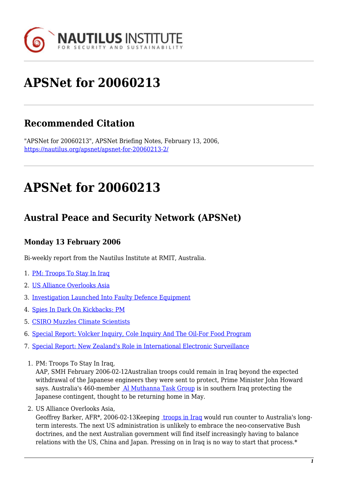

# **APSNet for 20060213**

## **Recommended Citation**

"APSNet for 20060213", APSNet Briefing Notes, February 13, 2006, <https://nautilus.org/apsnet/apsnet-for-20060213-2/>

## **APSNet for 20060213**

### **Austral Peace and Security Network (APSNet)**

### **Monday 13 February 2006**

Bi-weekly report from the Nautilus Institute at RMIT, Australia.

- 1. [PM: Troops To Stay In Iraq](#page--1-0)
- 2. [US Alliance Overlooks Asia](#page--1-0)
- 3. [Investigation Launched Into Faulty Defence Equipment](#page--1-0)
- 4. [Spies In Dark On Kickbacks: PM](#page--1-0)
- 5. [CSIRO Muzzles Climate Scientists](#page--1-0)
- 6. [Special Report: Volcker Inquiry, Cole Inquiry And The Oil-For Food Program](#page--1-0)
- 7. [Special Report: New Zealand's Role in International Electronic Surveillance](#page--1-0)
- 1. PM: Troops To Stay In Iraq,

AAP, SMH February 2006-02-12Australian troops could remain in Iraq beyond the expected withdrawal of the Japanese engineers they were sent to protect, Prime Minister John Howard says. Australia's 460-member [Al Muthanna Task Group](http://www.smh.com.au/news/world/pm-troops-to-stay-in-iraq/2006/02/12/1139679465809.html) is in southern Iraq protecting the Japanese contingent, thought to be returning home in May.

2. US Alliance Overlooks Asia,

Geoffrey Barker, AFR\*, 2006-02-13Keeping [troops in Iraq](http://newsstore.fairfax.com.au/apps/newsSearch.ac?ac=search&sy=afr&ss=AFR&dt=selectRange&so=relevance&sp=0&rc=10&dr=1month&pb=fin&sf=article&kw=US alliance overlooks Asia&go=go) would run counter to Australia's longterm interests. The next US administration is unlikely to embrace the neo-conservative Bush doctrines, and the next Australian government will find itself increasingly having to balance relations with the US, China and Japan. Pressing on in Iraq is no way to start that process.\*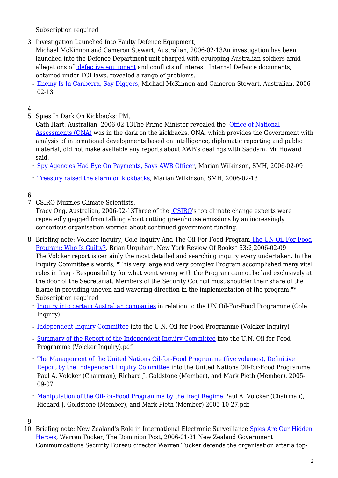Subscription required

3. Investigation Launched Into Faulty Defence Equipment,

Michael McKinnon and Cameron Stewart, Australian, 2006-02-13An investigation has been launched into the Defence Department unit charged with equipping Australian soldiers amid allegations of [defective equipment](http://www.theaustralian.news.com.au/common/story_page/0,5744,18126989%5E601,00.html) and conflicts of interest. Internal Defence documents, obtained under FOI laws, revealed a range of problems.

**<u>[Enemy Is In Canberra, Say Diggers](http://www.theaustralian.news.com.au/common/story_page/0,5744,18126991%5E31477,00.html)</u>, Michael McKinnon and Cameron Stewart, Australian, 2006-**02-13

#### 4.

5. Spies In Dark On Kickbacks: PM,

Cath Hart, Australian, 2006-02-13The Prime Minister revealed the [Office of National](http://www.theaustralian.news.com.au/common/story_page/0,5744,18127306%5E5001561,00.html) [Assessments \(ONA\)](http://www.theaustralian.news.com.au/common/story_page/0,5744,18127306%5E5001561,00.html) was in the dark on the kickbacks. ONA, which provides the Government with analysis of international developments based on intelligence, diplomatic reporting and public material, did not make available any reports about AWB's dealings with Saddam, Mr Howard said.

- ❍ [Spy Agencies Had Eye On Payments, Says AWB Officer](http://www.smh.com.au/news/national/spy-agencies-had-eye-on-payments-says-awb-officer/2006/02/08/1139379573595.html), Marian Wilkinson, SMH, 2006-02-09
- ❍ [Treasury raised the alarm on kickbacks](http://www.smh.com.au/news/national/treasury-raised-the-alarm-on-kickbacks/2006/02/12/1139679480757.html), Marian Wilkinson, SMH, 2006-02-13

#### 6.

7. CSIRO Muzzles Climate Scientists,

Tracy Ong, Australian, 2006-02-13Three of the [CSIRO](http://www.theaustralian.news.com.au/common/story_page/0,5744,18126870%5E30417,00.html)'s top climate change experts were repeatedly gagged from talking about cutting greenhouse emissions by an increasingly censorious organisation worried about continued government funding.

- 8. Briefing note: Volcker Inquiry, Cole Inquiry And The Oil-For Food Progra[m The UN Oil-For-Food](http://www.nybooks.com/articles/article-preview?article_id=18683) [Program: Who Is Guilty?](http://www.nybooks.com/articles/article-preview?article_id=18683), Brian Urquhart, New York Review Of Books\* 53:2,2006-02-09 The Volcker report is certainly the most detailed and searching inquiry every undertaken. In the Inquiry Committee's words, "This very large and very complex Program accomplished many vital roles in Iraq - Responsibility for what went wrong with the Program cannot be laid exclusively at the door of the Secretariat. Members of the Security Council must shoulder their share of the blame in providing uneven and wavering direction in the implementation of the program."\* Subscription required
	- o [Inquiry into certain Australian companies](http://www.ag.gov.au/agd/www/UNOilForFoodInquiry.nsf) in relation to the UN Oil-For-Food Programme (Cole Inquiry)
	- ❍ [Independent Inquiry Committee](http://www.iic-offp.org/) into the U.N. Oil-for-Food Programme (Volcker Inquiry)
	- ❍ [Summary of the Report of the Independent Inquiry Committee](http://www.iic-offp.org/documents/Final Report 27Oct05/IIC Final Report  Chapter One.pdf) into the U.N. Oil-for-Food Programme (Volcker Inquiry).pdf
	- ❍ [The Management of the United Nations Oil-for-Food Programme \(five volumes\), Definitive](http://www.iic-offp.org/Mgmt_Report.htm) [Report by the Independent Inquiry Committee](http://www.iic-offp.org/Mgmt_Report.htm) into the United Nations Oil-for-Food Programme. Paul A. Volcker (Chairman), Richard J. Goldstone (Member), and Mark Pieth (Member). 2005-09-07
	- ❍ [Manipulation of the Oil-for-Food Programme by the Iraqi Regime](http://www.iic-offp.org/documents/IIC Final Report 27Oct2005.pdf) Paul A. Volcker (Chairman), Richard J. Goldstone (Member), and Mark Pieth (Member) 2005-10-27.pdf

9.

10. Briefing note: New Zealand's Role in International Electronic Surveillanc[e Spies Are Our Hidden](http://www.stuff.co.nz/stuff/0,2106,3557341a6220,00.html) [Heroes](http://www.stuff.co.nz/stuff/0,2106,3557341a6220,00.html), Warren Tucker, The Dominion Post, 2006-01-31 New Zealand Government Communications Security Bureau director Warren Tucker defends the organisation after a top